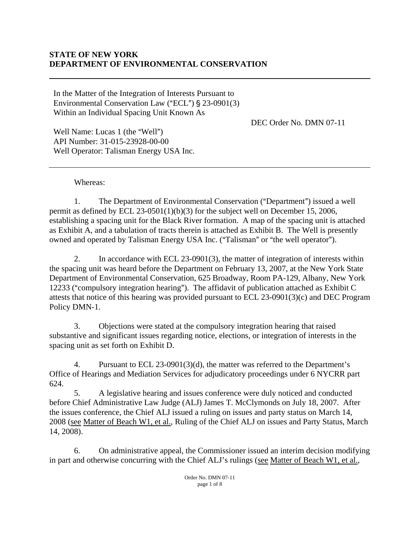## **STATE OF NEW YORK DEPARTMENT OF ENVIRONMENTAL CONSERVATION**

In the Matter of the Integration of Interests Pursuant to Environmental Conservation Law ("ECL")  $\S$  23-0901(3) Within an Individual Spacing Unit Known As

DEC Order No. DMN 07-11

Well Name: Lucas 1 (the "Well") API Number: 31-015-23928-00-00 Well Operator: Talisman Energy USA Inc.

## Whereas:

1. The Department of Environmental Conservation ("Department") issued a well permit as defined by ECL 23-0501(1)(b)(3) for the subject well on December 15, 2006, establishing a spacing unit for the Black River formation. A map of the spacing unit is attached as Exhibit A, and a tabulation of tracts therein is attached as Exhibit B. The Well is presently owned and operated by Talisman Energy USA Inc. ("Talisman" or "the well operator").

2. In accordance with ECL 23-0901(3), the matter of integration of interests within the spacing unit was heard before the Department on February 13, 2007, at the New York State Department of Environmental Conservation, 625 Broadway, Room PA-129, Albany, New York 12233 ("compulsory integration hearing"). The affidavit of publication attached as Exhibit C attests that notice of this hearing was provided pursuant to ECL 23-0901(3)(c) and DEC Program Policy DMN-1.

3. Objections were stated at the compulsory integration hearing that raised substantive and significant issues regarding notice, elections, or integration of interests in the spacing unit as set forth on Exhibit D.

4. Pursuant to ECL 23-0901(3)(d), the matter was referred to the Department's Office of Hearings and Mediation Services for adjudicatory proceedings under 6 NYCRR part 624.

5. A legislative hearing and issues conference were duly noticed and conducted before Chief Administrative Law Judge (ALJ) James T. McClymonds on July 18, 2007. After the issues conference, the Chief ALJ issued a ruling on issues and party status on March 14, 2008 (see Matter of Beach W1, et al., Ruling of the Chief ALJ on issues and Party Status, March 14, 2008).

6. On administrative appeal, the Commissioner issued an interim decision modifying in part and otherwise concurring with the Chief ALJ's rulings (see Matter of Beach W1, et al.,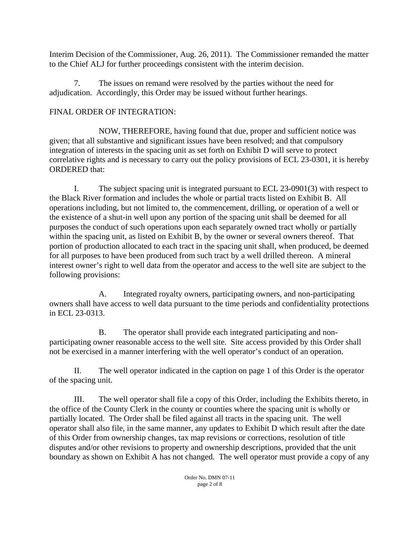Interim Decision of the Commissioner, Aug. 26, 2011). The Commissioner remanded the matter to the Chief ALJ for further proceedings consistent with the interim decision.

7. The issues on remand were resolved by the parties without the need for adjudication. Accordingly, this Order may be issued without further hearings.

## FINAL ORDER OF INTEGRATION:

NOW, THEREFORE, having found that due, proper and sufficient notice was given; that all substantive and significant issues have been resolved; and that compulsory integration of interests in the spacing unit as set forth on Exhibit D will serve to protect correlative rights and is necessary to carry out the policy provisions of ECL 23-0301, it is hereby ORDERED that:

I. The subject spacing unit is integrated pursuant to ECL 23-0901(3) with respect to the Black River formation and includes the whole or partial tracts listed on Exhibit B. All operations including, but not limited to, the commencement, drilling, or operation of a well or the existence of a shut-in well upon any portion of the spacing unit shall be deemed for all purposes the conduct of such operations upon each separately owned tract wholly or partially within the spacing unit, as listed on Exhibit B, by the owner or several owners thereof. That portion of production allocated to each tract in the spacing unit shall, when produced, be deemed for all purposes to have been produced from such tract by a well drilled thereon. A mineral interest owner's right to well data from the operator and access to the well site are subject to the following provisions:

 A. Integrated royalty owners, participating owners, and non-participating owners shall have access to well data pursuant to the time periods and confidentiality protections in ECL 23-0313.

 B. The operator shall provide each integrated participating and nonparticipating owner reasonable access to the well site. Site access provided by this Order shall not be exercised in a manner interfering with the well operator's conduct of an operation.

II. The well operator indicated in the caption on page 1 of this Order is the operator of the spacing unit.

III. The well operator shall file a copy of this Order, including the Exhibits thereto, in the office of the County Clerk in the county or counties where the spacing unit is wholly or partially located. The Order shall be filed against all tracts in the spacing unit. The well operator shall also file, in the same manner, any updates to Exhibit D which result after the date of this Order from ownership changes, tax map revisions or corrections, resolution of title disputes and/or other revisions to property and ownership descriptions, provided that the unit boundary as shown on Exhibit A has not changed. The well operator must provide a copy of any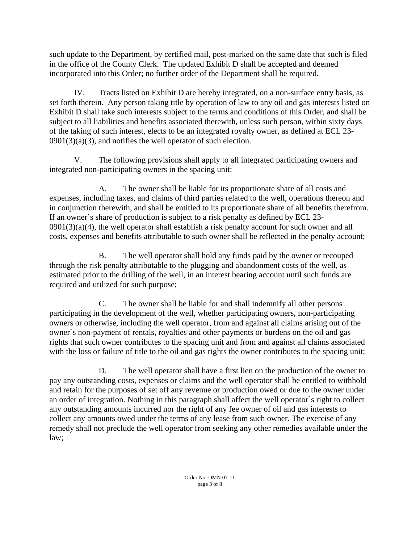such update to the Department, by certified mail, post-marked on the same date that such is filed in the office of the County Clerk. The updated Exhibit D shall be accepted and deemed incorporated into this Order; no further order of the Department shall be required.

IV. Tracts listed on Exhibit D are hereby integrated, on a non-surface entry basis, as set forth therein. Any person taking title by operation of law to any oil and gas interests listed on Exhibit D shall take such interests subject to the terms and conditions of this Order, and shall be subject to all liabilities and benefits associated therewith, unless such person, within sixty days of the taking of such interest, elects to be an integrated royalty owner, as defined at ECL 23-  $0901(3)(a)(3)$ , and notifies the well operator of such election.

V. The following provisions shall apply to all integrated participating owners and integrated non-participating owners in the spacing unit:

A. The owner shall be liable for its proportionate share of all costs and expenses, including taxes, and claims of third parties related to the well, operations thereon and in conjunction therewith, and shall be entitled to its proportionate share of all benefits therefrom. If an owner`s share of production is subject to a risk penalty as defined by ECL 23-  $0901(3)(a)(4)$ , the well operator shall establish a risk penalty account for such owner and all costs, expenses and benefits attributable to such owner shall be reflected in the penalty account;

B. The well operator shall hold any funds paid by the owner or recouped through the risk penalty attributable to the plugging and abandonment costs of the well, as estimated prior to the drilling of the well, in an interest bearing account until such funds are required and utilized for such purpose;

C. The owner shall be liable for and shall indemnify all other persons participating in the development of the well, whether participating owners, non-participating owners or otherwise, including the well operator, from and against all claims arising out of the owner`s non-payment of rentals, royalties and other payments or burdens on the oil and gas rights that such owner contributes to the spacing unit and from and against all claims associated with the loss or failure of title to the oil and gas rights the owner contributes to the spacing unit;

D. The well operator shall have a first lien on the production of the owner to pay any outstanding costs, expenses or claims and the well operator shall be entitled to withhold and retain for the purposes of set off any revenue or production owed or due to the owner under an order of integration. Nothing in this paragraph shall affect the well operator`s right to collect any outstanding amounts incurred nor the right of any fee owner of oil and gas interests to collect any amounts owed under the terms of any lease from such owner. The exercise of any remedy shall not preclude the well operator from seeking any other remedies available under the law;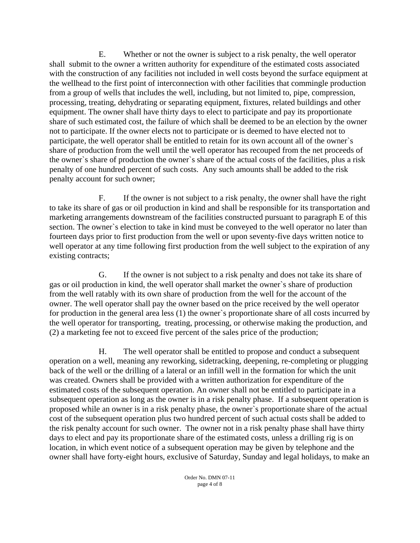E. Whether or not the owner is subject to a risk penalty, the well operator shall submit to the owner a written authority for expenditure of the estimated costs associated with the construction of any facilities not included in well costs beyond the surface equipment at the wellhead to the first point of interconnection with other facilities that commingle production from a group of wells that includes the well, including, but not limited to, pipe, compression, processing, treating, dehydrating or separating equipment, fixtures, related buildings and other equipment. The owner shall have thirty days to elect to participate and pay its proportionate share of such estimated cost, the failure of which shall be deemed to be an election by the owner not to participate. If the owner elects not to participate or is deemed to have elected not to participate, the well operator shall be entitled to retain for its own account all of the owner`s share of production from the well until the well operator has recouped from the net proceeds of the owner`s share of production the owner`s share of the actual costs of the facilities, plus a risk penalty of one hundred percent of such costs. Any such amounts shall be added to the risk penalty account for such owner;

F. If the owner is not subject to a risk penalty, the owner shall have the right to take its share of gas or oil production in kind and shall be responsible for its transportation and marketing arrangements downstream of the facilities constructed pursuant to paragraph E of this section. The owner`s election to take in kind must be conveyed to the well operator no later than fourteen days prior to first production from the well or upon seventy-five days written notice to well operator at any time following first production from the well subject to the expiration of any existing contracts;

G. If the owner is not subject to a risk penalty and does not take its share of gas or oil production in kind, the well operator shall market the owner`s share of production from the well ratably with its own share of production from the well for the account of the owner. The well operator shall pay the owner based on the price received by the well operator for production in the general area less (1) the owner`s proportionate share of all costs incurred by the well operator for transporting, treating, processing, or otherwise making the production, and (2) a marketing fee not to exceed five percent of the sales price of the production;

H. The well operator shall be entitled to propose and conduct a subsequent operation on a well, meaning any reworking, sidetracking, deepening, re-completing or plugging back of the well or the drilling of a lateral or an infill well in the formation for which the unit was created. Owners shall be provided with a written authorization for expenditure of the estimated costs of the subsequent operation. An owner shall not be entitled to participate in a subsequent operation as long as the owner is in a risk penalty phase. If a subsequent operation is proposed while an owner is in a risk penalty phase, the owner`s proportionate share of the actual cost of the subsequent operation plus two hundred percent of such actual costs shall be added to the risk penalty account for such owner. The owner not in a risk penalty phase shall have thirty days to elect and pay its proportionate share of the estimated costs, unless a drilling rig is on location, in which event notice of a subsequent operation may be given by telephone and the owner shall have forty-eight hours, exclusive of Saturday, Sunday and legal holidays, to make an

> Order No. DMN 07-11 page 4 of 8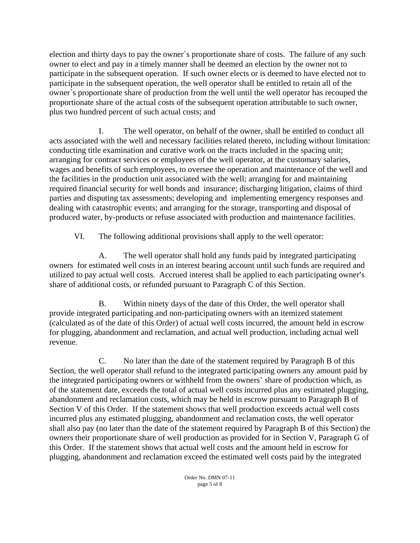election and thirty days to pay the owner`s proportionate share of costs. The failure of any such owner to elect and pay in a timely manner shall be deemed an election by the owner not to participate in the subsequent operation. If such owner elects or is deemed to have elected not to participate in the subsequent operation, the well operator shall be entitled to retain all of the owner`s proportionate share of production from the well until the well operator has recouped the proportionate share of the actual costs of the subsequent operation attributable to such owner, plus two hundred percent of such actual costs; and

I. The well operator, on behalf of the owner, shall be entitled to conduct all acts associated with the well and necessary facilities related thereto, including without limitation: conducting title examination and curative work on the tracts included in the spacing unit; arranging for contract services or employees of the well operator, at the customary salaries, wages and benefits of such employees, to oversee the operation and maintenance of the well and the facilities in the production unit associated with the well; arranging for and maintaining required financial security for well bonds and insurance; discharging litigation, claims of third parties and disputing tax assessments; developing and implementing emergency responses and dealing with catastrophic events; and arranging for the storage, transporting and disposal of produced water, by-products or refuse associated with production and maintenance facilities.

VI. The following additional provisions shall apply to the well operator:

A. The well operator shall hold any funds paid by integrated participating owners for estimated well costs in an interest bearing account until such funds are required and utilized to pay actual well costs. Accrued interest shall be applied to each participating owner's share of additional costs, or refunded pursuant to Paragraph C of this Section.

 B. Within ninety days of the date of this Order, the well operator shall provide integrated participating and non-participating owners with an itemized statement (calculated as of the date of this Order) of actual well costs incurred, the amount held in escrow for plugging, abandonment and reclamation, and actual well production, including actual well revenue.

C. No later than the date of the statement required by Paragraph B of this Section, the well operator shall refund to the integrated participating owners any amount paid by the integrated participating owners or withheld from the owners' share of production which, as of the statement date, exceeds the total of actual well costs incurred plus any estimated plugging, abandonment and reclamation costs, which may be held in escrow pursuant to Paragraph B of Section V of this Order. If the statement shows that well production exceeds actual well costs incurred plus any estimated plugging, abandonment and reclamation costs, the well operator shall also pay (no later than the date of the statement required by Paragraph B of this Section) the owners their proportionate share of well production as provided for in Section V, Paragraph G of this Order. If the statement shows that actual well costs and the amount held in escrow for plugging, abandonment and reclamation exceed the estimated well costs paid by the integrated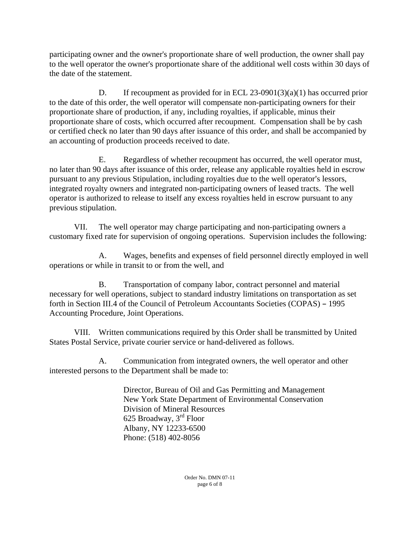participating owner and the owner's proportionate share of well production, the owner shall pay to the well operator the owner's proportionate share of the additional well costs within 30 days of the date of the statement.

D. If recoupment as provided for in ECL 23-0901(3)(a)(1) has occurred prior to the date of this order, the well operator will compensate non-participating owners for their proportionate share of production, if any, including royalties, if applicable, minus their proportionate share of costs, which occurred after recoupment. Compensation shall be by cash or certified check no later than 90 days after issuance of this order, and shall be accompanied by an accounting of production proceeds received to date.

E. Regardless of whether recoupment has occurred, the well operator must, no later than 90 days after issuance of this order, release any applicable royalties held in escrow pursuant to any previous Stipulation, including royalties due to the well operator's lessors, integrated royalty owners and integrated non-participating owners of leased tracts. The well operator is authorized to release to itself any excess royalties held in escrow pursuant to any previous stipulation.

VII. The well operator may charge participating and non-participating owners a customary fixed rate for supervision of ongoing operations. Supervision includes the following:

A. Wages, benefits and expenses of field personnel directly employed in well operations or while in transit to or from the well, and

B. Transportation of company labor, contract personnel and material necessary for well operations, subject to standard industry limitations on transportation as set forth in Section III.4 of the Council of Petroleum Accountants Societies (COPAS) - 1995 Accounting Procedure, Joint Operations.

VIII. Written communications required by this Order shall be transmitted by United States Postal Service, private courier service or hand-delivered as follows.

A. Communication from integrated owners, the well operator and other interested persons to the Department shall be made to:

> Director, Bureau of Oil and Gas Permitting and Management New York State Department of Environmental Conservation Division of Mineral Resources 625 Broadway, 3rd Floor Albany, NY 12233-6500 Phone: (518) 402-8056